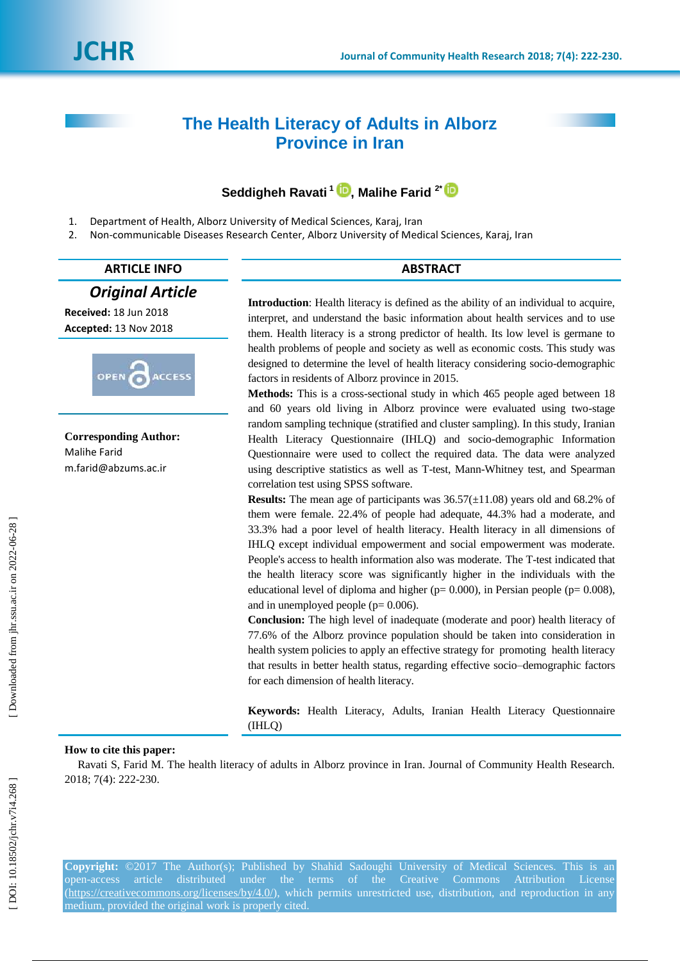# **The Health Literacy of Adults in Alborz Province in Iran**

## **Seddigheh Ravati 1 [,](https://orcid.org/0000-0003-2559-0193) Malihe Farid 2[\\*](https://orcid.org/0000-0003-4614-7588)**

- 1. Department of Health, Alborz University of Medical Sciences, Karaj, Iran
- 2. Non -communicable Diseases Research Center, Alborz University of Medical Sciences, Karaj, Iran

## **ARTICLE INFO ABSTRACT**

## *Original Article*

**Received:** 18 Jun 2018 **Accepted:** 13 Nov 2018



**Corresponding Author:** Malihe Farid m.farid@abzums.ac.ir

**Introduction**: Health literacy is defined as the ability of an individual to acquire, interpret, and understand the basic information about health services and to use them. Health literacy is a strong predictor of health . Its low level is germane to health problems of people and society as well as economic costs. This study was designed to determine the level of health literacy considering socio -demographic factors in residents of Alborz province in 2015.

**Methods:** This is a cross -sectional study in which 465 people aged between 18 and 60 years old living in Alborz province were evaluated using two -stage random sampling technique (stratified and cluster sampling). In this study, Iranian Health Literacy Questionnaire (IHLQ) and socio -demographic Information Questionnaire were used to collect the required data. The data were analyzed using descriptive statistics as well as T -test, Mann -Whitney test, and Spearman correlation test using SPSS software.

**Results:** The mean age of participants was  $36.57(\pm 11.08)$  years old and  $68.2\%$  of them were female. 22.4% of people had adequate, 44.3% had a moderate, and 33.3% had a poor level of health literacy. Health literacy in all dimensions of IHLQ except individual empowerment and social empowerment was moderate. People's access to health information also was moderate. The T -test indicated that the health literacy score was significantly higher in the individuals with the educational level of diploma and higher ( $p= 0.000$ ), in Persian people ( $p= 0.008$ ), and in unemployed people  $(p= 0.006)$ .

**Conclusion:** The high level of inadequate (moderate and poor) health literacy of 77.6% of the Alborz province population should be taken into consideration in health system policies to apply an effective strategy for promoting health literacy that results in better health status, regarding effective socio –demographic factors for each dimension of health literacy.

**Keywords:** Health Literacy, Adults, Iranian Health Literacy Questionnaire (IHLQ)

## **How to cite this paper:**

Ravati S, Farid M. The health literacy of adults in Alborz province in Iran. Journal of Community Health Research. 2018; 7(4): 222 - 230 .

**Copyright:** ©2017 The Author(s); Published by Shahid Sadoughi University of Medical Sciences. This is an open-access article distributed under the terms of the Creative Commons Attribution License [\(https://creativecommons.org/licenses/by/4.0/\)](https://creativecommons.org/licenses/by/4.0/), which permits unrestricted use, distribution, and reproduction in any medium, provided the original work is properly cited.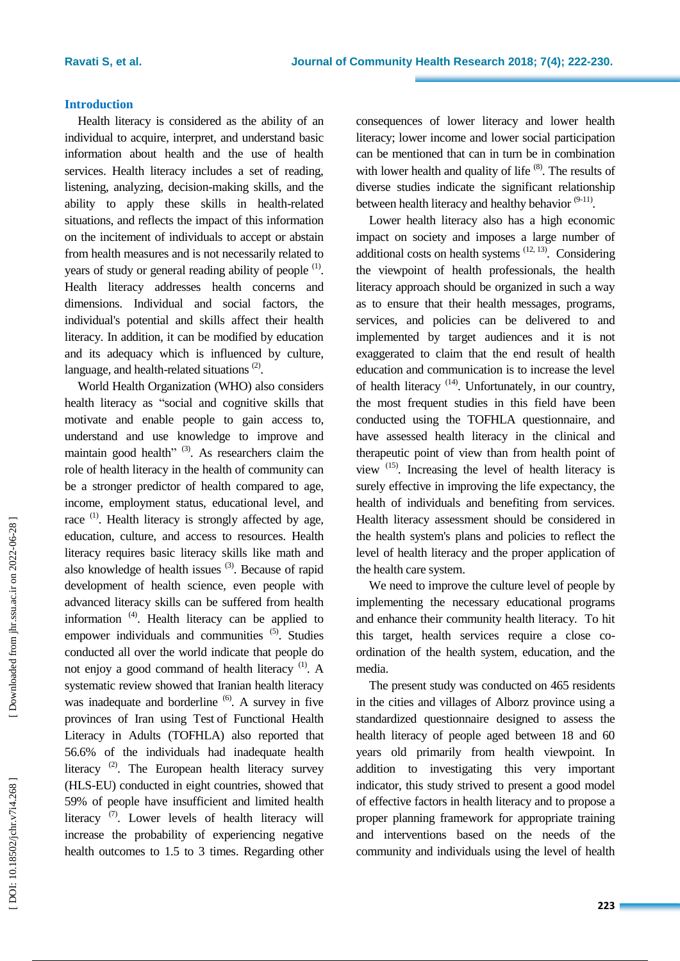## **Introduction**

Health literacy is considered as the ability of an individual to acquire, interpret, and understand basic information about health and the use of health services. Health literacy includes a set of reading, listening, analyzing, decision -making skills, and the ability to apply these skills in health -related situations, and reflects the impact of this information on the incitement of individuals to accept or abstain from health measures and is not necessarily related to years of study or general reading ability of people  $<sup>(1)</sup>$ .</sup> Health literacy addresses health concerns and dimensions. Individual and social factors, the individual's potential and skills affect their health literacy. In addition, it can be modified by education and its adequacy which is influenced by culture, language, and health-related situations<sup>(2)</sup>.

World Health Organization (WHO) also considers health literacy as "social and cognitive skills that motivate and enable people to gain access to, understand and use knowledge to improve and maintain good health"<sup>(3)</sup>. As researchers claim the role of health literacy in the health of community can be a stronger predictor of health compared to age, income, employment status, educational level, and race  $(1)$ . Health literacy is strongly affected by age, education, culture, and access to resources. Health literacy requires basic literacy skills like math and also knowledge of health issues <sup>(3)</sup>. Because of rapid development of health science, even people with advanced literacy skills can be suffered from health information<sup>(4)</sup>. Health literacy can be applied to empower individuals and communities <sup>(5)</sup>. Studies conducted all over the world indicate that people do not enjoy a good command of health literacy<sup>(1)</sup>. A systematic review showed that Iranian health literacy was inadequate and borderline <sup>(6)</sup>. A survey in five provinces of Iran using Test of Functional Health Literacy in Adults (TOFHLA) also reported that 56.6% of the individuals had inadequate health literacy  $(2)$ . The European health literacy survey (HLS -EU) conducted in eight countries , showed that 59% of people have insufficient and limited health literacy<sup>(7)</sup>. Lower levels of health literacy will increase the probability of experiencing negative health outcomes to 1.5 to 3 times. Regarding other

consequences of lower literacy and lower health literacy ; lower income and lower social participation can be mentioned that can in turn be in combination with lower health and quality of life  $(8)$ . The results of diverse studies indicate the significant relationship between health literacy and healthy behavior  $(9-11)$ .

Lower health literacy also has a high economic impact on society and imposes a large number of additional costs on health systems  $(12, 13)$ . Considering the viewpoint of health professionals, the health literacy approach should be organized in such a way as to ensure that their health messages, programs, services, and policies can be delivered to and implemented by target audiences and it is not exaggerated to claim that the end result of health education and communication is to increase the level of health literacy<sup>(14)</sup>. Unfortunately, in our country, the most frequent studies in this field have been conducted using the TOFHLA questionnaire, and have assessed health literacy in the clinical and therapeutic point of view than from health point of view  $(15)$ . Increasing the level of health literacy is surely effective in improving the life expectancy, the health of individuals and benefiting from services. Health literacy assessment should be considered in the health system's plans and policies to reflect the level of health literacy and the proper application of the health care system.

We need to improve the culture level of people by implementing the necessary educational programs and enhance their community health literacy. To hit this target, health services require a close co ordination of the health system, education, and the media.

The present study was conducted on 465 residents in the cities and villages of Alborz province using a standardized questionnaire designed to assess the health literacy of people aged between 18 and 60 years old primarily from health viewpoint. In addition to investigating this very important indicator, this study strived to present a good model of effective factors in health literacy and to propose a proper planning framework for appropriate training and interventions based on the needs of the community and individuals using the level of health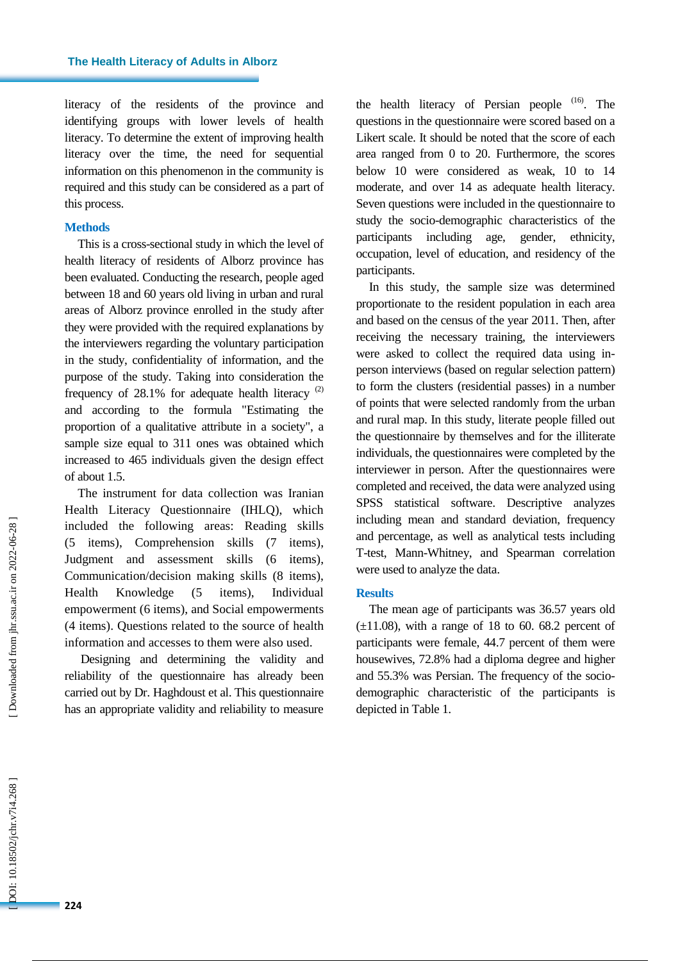literacy of the residents of the province and identifying groups with lower levels of health literacy. To determine the extent of improving health literacy over the time, the need for sequential information on this phenomenon in the community is required and this study can be considered as a part of this process.

#### **Methods**

This is a cross -sectional study in which the level of health literacy of residents of Alborz province has been evaluated. Conducting the research, people aged between 18 and 60 years old living in urban and rural areas of Alborz province enrolled in the study after they were provided with the required explanations by the interviewe rs regarding the voluntary participation in the study, confidentiality of information, and the purpose of the study. Taking into consideration the frequency of  $28.1\%$  for adequate health literacy  $(2)$ and according to the formula "Estimating the proportion of a qualitative attribute in a society", a sample size equal to 311 ones was obtained which increased to 465 individuals given the design effect of about 1. 5 .

The instrument for data collection was Iranian Health Literacy Questionnaire (IHLQ), which included the following areas: Reading skills (5 items ), Comprehension skills (7 items ), Judgment and assessment skills (6 items ), Communication/decision making skills (8 items ), Health Knowledge (5 items). ), Individual empowerment (6 items ), and Social empowerments (4 items). Questions related to the source of health information and accesses to them were also used.

Designing and determining the validity and reliability of the questionnaire has already been carried out by Dr. Haghdoust et al. This questionnaire has an appropriate validity and reliability to measure

the health literacy of Persian people <sup>(16)</sup>. The questions in the questionnaire were scored based on a Likert scale. It should be noted that the score of each area ranged from 0 to 20. Furthermore, the scores below 10 were considered as weak, 10 to 14 moderate, and over 14 as adequate health literacy. Seven questions were included in the questionnaire to study the socio -demographic characteristics of the participants including age, gender, ethnicity, occupation, level of education , and residency of the participants.

In this study, the sample size was determined proportionate to the resident population in each area and based on the census of the year 2011. Then, after receiving the necessary training, the interviewers were asked to collect the required data using in person interview s (based on regular selection pattern) to form the clusters (residential passes) in a number of points that were selected randomly from the urban and rural map. In this study, literate people filled out the questionnaire by themselves and for the illiterate individuals, the questionnaires were completed by the interviewer in person. After the questionnaires were completed and received, the data were analyzed using SPSS statistical software. Descriptive analyzes including mean and standard deviation, frequency and percentage, as well as analytical tests including T-test, Mann-Whitney, and Spearman correlation were used to analyze the data.

## **Results**

The mean age of participants was 3 6.5 7 years old  $(\pm 11.08)$ , with a range of 18 to 60. 68.2 percent of participants were female, 44.7 percent of them were housewives, 72.8% had a diploma degree and higher and 55.3% was Persian. The frequency of the socio demographic characteristic of the participants is depicted in Table 1.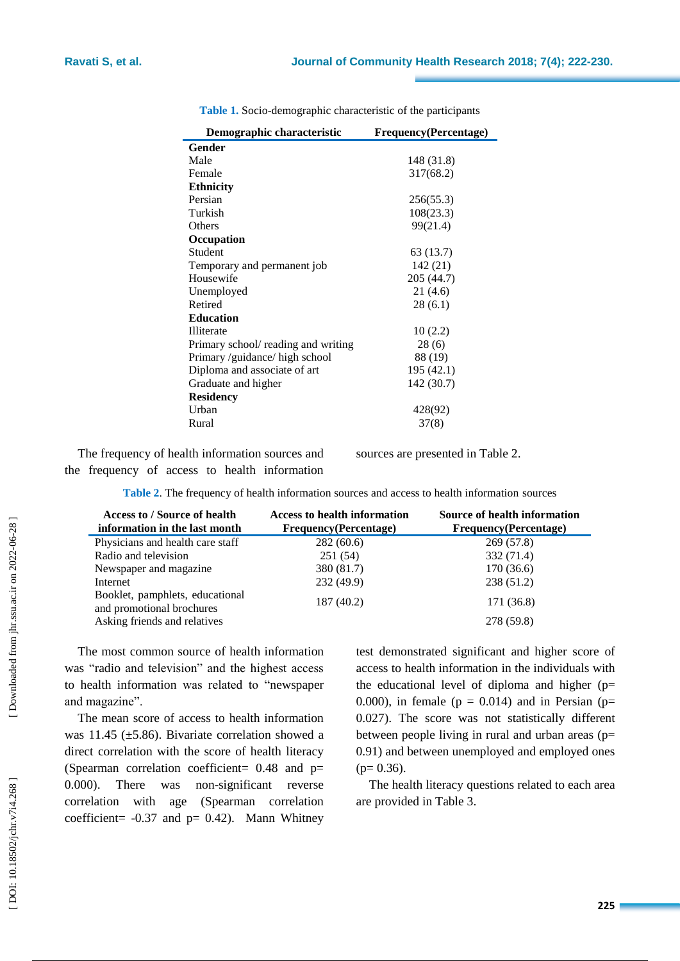| Demographic characteristic          | <b>Frequency</b> (Percentage) |  |
|-------------------------------------|-------------------------------|--|
| Gender                              |                               |  |
| Male                                | 148 (31.8)                    |  |
| Female                              | 317(68.2)                     |  |
| <b>Ethnicity</b>                    |                               |  |
| Persian                             | 256(55.3)                     |  |
| Turkish                             | 108(23.3)                     |  |
| Others                              | 99(21.4)                      |  |
| Occupation                          |                               |  |
| Student                             | 63 (13.7)                     |  |
| Temporary and permanent job         | 142 (21)                      |  |
| Housewife                           | 205 (44.7)                    |  |
| Unemployed                          | 21(4.6)                       |  |
| Retired                             | 28(6.1)                       |  |
| <b>Education</b>                    |                               |  |
| Illiterate                          | 10(2.2)                       |  |
| Primary school/ reading and writing | 28 (6)                        |  |
| Primary /guidance/ high school      | 88 (19)                       |  |
| Diploma and associate of art        | 195 (42.1)                    |  |
| Graduate and higher                 | 142 (30.7)                    |  |
| <b>Residency</b>                    |                               |  |
| Urban                               | 428(92)                       |  |
| Rural                               | 37(8)                         |  |

Table 1. Socio-demographic characteristic of the participants

The frequency of health information sources and the frequency of access to health information sources are presented in Table 2.

**Table 2** . The frequency of health information sources and access to health information sources

| Access to / Source of health<br>information in the last month | <b>Access to health information</b><br>Frequency(Percentage) | Source of health information<br>Frequency(Percentage) |
|---------------------------------------------------------------|--------------------------------------------------------------|-------------------------------------------------------|
| Physicians and health care staff                              | 282(60.6)                                                    | 269 (57.8)                                            |
| Radio and television                                          | 251(54)                                                      | 332 (71.4)                                            |
| Newspaper and magazine.                                       | 380 (81.7)                                                   | 170 (36.6)                                            |
| Internet                                                      | 232 (49.9)                                                   | 238 (51.2)                                            |
| Booklet, pamphlets, educational<br>and promotional brochures  | 187 (40.2)                                                   | 171 (36.8)                                            |
| Asking friends and relatives                                  |                                                              | 278 (59.8)                                            |

The most common source of health information was "radio and television" and the highest access to health information was related to "newspaper and magazine".

The mean score of access to health information was 11.45 ( $\pm$ 5.86). Bivariate correlation showed a direct correlation with the score of health literacy (Spearman correlation coefficient=  $0.48$  and  $p=$ 0.000) . There was no n -significant reverse correlation with age (Spearman correlation coefficient =  $-0.37$  and  $p = 0.42$ ). Mann Whitney

test demonstrated significant and higher score of access to health information in the individuals with the educational level of diploma and higher (p= 0.000), in female ( $p = 0.014$ ) and in Persian ( $p=$ 0 .02 7). The score was not statistically different between people living in rural and urban areas (p= 0.9 1 ) and between unemployed and employed ones  $(p= 0.36)$ .

The health literacy questions related to each area are provided in Table 3.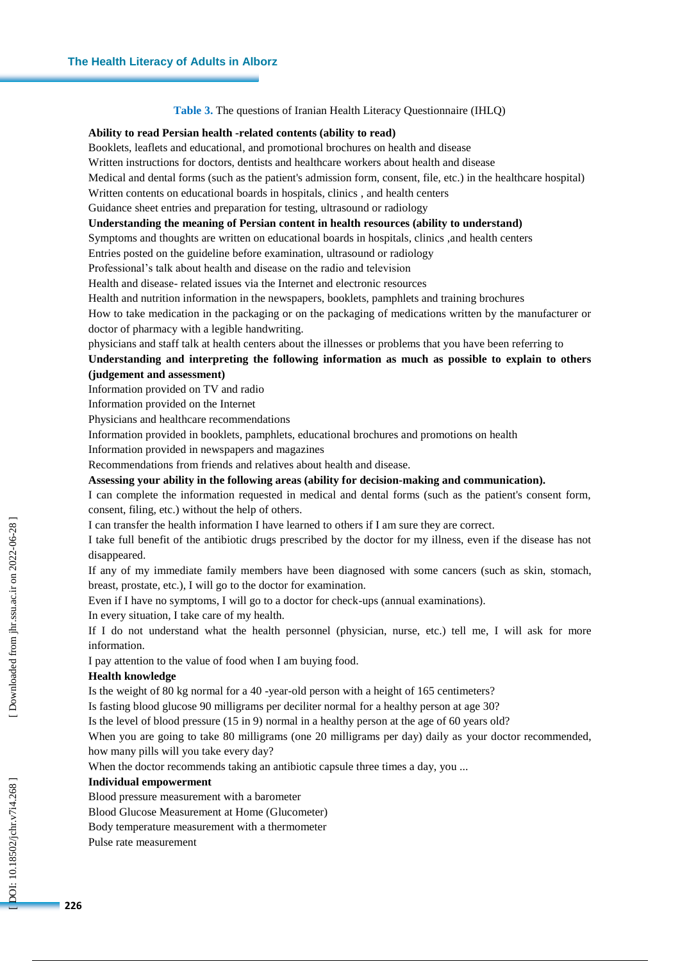#### **Table 3 .** The questions of Iranian Health Literacy Questionnaire (IHLQ)

#### **Ability to read Persian health -related contents (ability to read)**

Booklets, leaflets and educational , and promotional brochures on health and disease

Written instructions for doctors, dentists and healthcare workers about health and disease

Medical and dental forms (such as the patient's admission form, consent, file, etc.) in the healthcare hospital)

Written contents on educational boards in hospitals, clinics , and health centers

Guidance sheet entries and preparation for testing, ultrasound or radiology

## **Understanding the meaning of Persian content in health resources (ability to understand)**

Symptoms and thoughts are written on educational boards in hospitals, clinics ,and health centers

Entries posted on the guideline before examination, ultrasound or radiology

Professional's talk about health and disease on the radio and television

Health and disease - related issues via the Internet and electronic resources

Health and nutrition information in the newspaper s, booklet s, pamphlet s and training brochures

How to take medication in the packaging or on the packaging of medications written by the manufacturer or doctor of pharmacy with a legible handwriting.

physicians and staff talk at health centers about the illnesses or problem s that you have been referring to

## **Understanding and interpreting the following information as much as possible to explain to others (judgement and assessment)**

Information provided on TV and radio

Information provided on the Internet

Physicians and healthcare recommendations

Information provided in booklet s, pamphlet s, educational brochures and promotions on health

Information provided in newspapers and magazines

Recommendations from friends and relatives about health and disease.

#### **Assessing your ability in the following areas (ability for decision -making and communication).**

I can complete the information requested in medical and dental forms (such as the patient's consent form, consent, filing, etc.) without the help of others.

I can transfer the health information I have learned to others if I am sure they are correct.

I take full benefit of the antibiotic drugs prescribed by the doctor for my illness, even if the disease has not disappeared.

If any of my immediate family members have been diagnosed with some cancers (such as skin, stomach, breast, prostate, etc.), I will go to the doctor for examination.

Even if I have no symptoms, I will go to a doctor for check -ups (annual examinations).

In every situation, I take care of my health.

If I do not understand what the health personnel (physician, nurse, etc.) tell me, I will ask for more information.

I pay attention to the value of food when I am buying food.

#### **Health knowledge**

Is the weight of 80 kg normal for a 40 -year-old person with a height of 165 centimeters?

Is fasting blood glucose 90 milligrams per deciliter normal for a healthy person at age 30?

Is the level of blood pressure  $(15 \text{ in } 9)$  normal in a healthy person at the age of 60 years old?

When you are going to take 80 milligrams (one 20 milligrams per day) daily as your doctor recommended, how many pills will you take every day?

When the doctor recommends taking an antibiotic capsule three times a day, you ...

#### **Individual empowerment**

Blood pressure measurement with a barometer

Blood Glucose Measurement at Home (Glucometer)

Body temperature measurement with a thermometer

Pulse rate measurement

DOI: 10.18502/jchr.v7i4.268]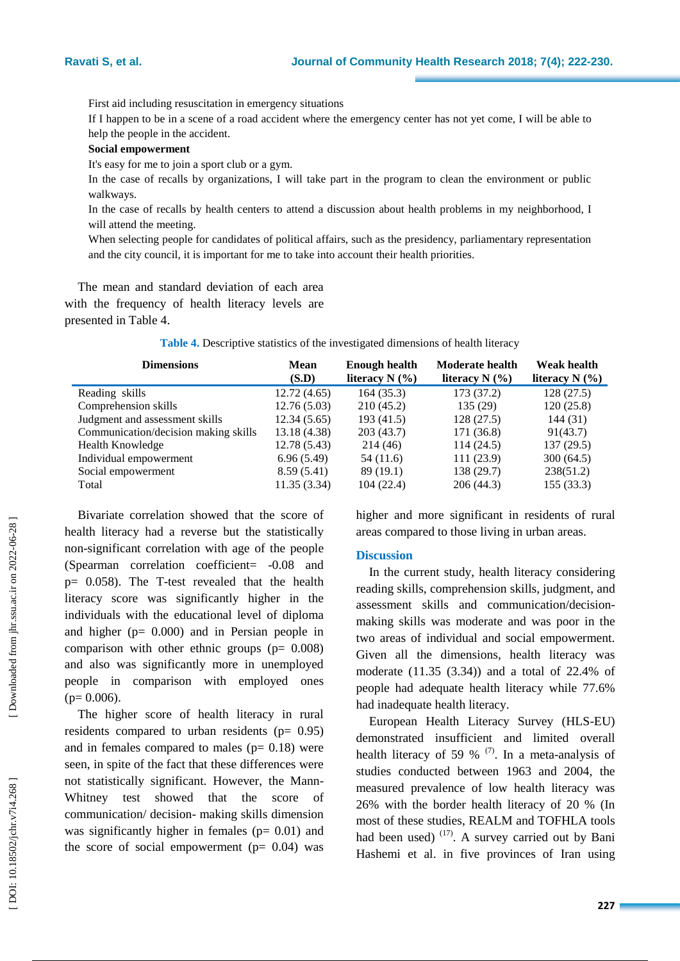First aid including resuscitation in emergency situations

If I happen to be in a scene of a road accident where the emergency center has not yet come, I will be able to help the people in the accident.

#### **Social empowerment**

It's easy for me to join a sport club or a gym .

In the case of recalls by organizations, I will take part in the program to clean the environment or public walkways.

In the case of recalls by health centers to attend a discussion about health problems in my neighborhood, I will attend the meeting.

When selecting people for candidates of political affairs, such as the presidency, parliamentary representation and the city council, it is important for me to take into account their health priorities.

The mean and standard deviation of each area with the frequency of health literacy level s are presented in Table 4 .

**Table 4 .** Descriptive statistics of the investigated dimensions of health literacy

| <b>Mean</b>  |                  | <b>Moderate health</b> | <b>Weak health</b> |
|--------------|------------------|------------------------|--------------------|
| (S.D)        | literacy $N$ (%) | literacy $N$ (%)       | literacy $N$ (%)   |
| 12.72(4.65)  | 164(35.3)        | 173 (37.2)             | 128(27.5)          |
| 12.76(5.03)  | 210(45.2)        | 135(29)                | 120(25.8)          |
| 12.34(5.65)  | 193 (41.5)       | 128(27.5)              | 144 (31)           |
| 13.18 (4.38) | 203(43.7)        | 171 (36.8)             | 91(43.7)           |
| 12.78(5.43)  | 214 (46)         | 114(24.5)              | 137(29.5)          |
| 6.96(5.49)   | 54 (11.6)        | 111(23.9)              | 300(64.5)          |
| 8.59(5.41)   | 89(19.1)         | 138 (29.7)             | 238(51.2)          |
| 11.35(3.34)  | 104(22.4)        | 206(44.3)              | 155 (33.3)         |
|              |                  | <b>Enough health</b>   |                    |

Bivariate correlation showed that the score of health literacy had a reverse but the statistically non -significant correl ation with age of the people (Spearman correlation coefficient= -0.08 and p= 0.058 ) . The T -test revealed that the health literacy score was significantly higher in the individuals with the educational level of diploma and higher (p= 0.000) and in Persian people in comparison with other ethnic groups (p= 0.008) and also was significantly more in unemployed people in comparison with employed ones  $(p= 0.006)$ .

The higher score of health literacy in rural residents compared to urban residents ( $p = 0.95$ ) and in females compared to males  $(p= 0.18)$  were seen, in spite of the fact that these differences were not statistically significant. However, the Mann - Whitney test showed that the score of communication / decision - making skills dimension was significantly higher in females  $(p= 0.01)$  and the score of social empowerment ( $p= 0.04$ ) was

higher and more significant in residents of rural areas compared to those living in urban areas.

#### **Discussion**

In the current study, health literacy considering reading skills, comprehension skills, judgment, and assessment skills and communication/decision making skills was moderate and was poor in the two areas of individual and social empowerment. Given all the dimensions, health literacy was moderate (11.35 (3.34)) and a total of 22.4% of people had adequate health literacy while 77.6% had inadequate health literacy.

European Health Literacy Survey (HLS -EU) demonstrated insufficient and limited overall health literacy of 59 %  $(7)$ . In a meta-analysis of studies conducted between 1963 and 2004 , the measured prevalence of low health literacy was 26% with the border health literacy of 20 % (In most of these studies, REALM and TOFHLA tools had been used)  $(17)$ . A survey carried out by Bani Hashemi et al. in five provinces of Iran using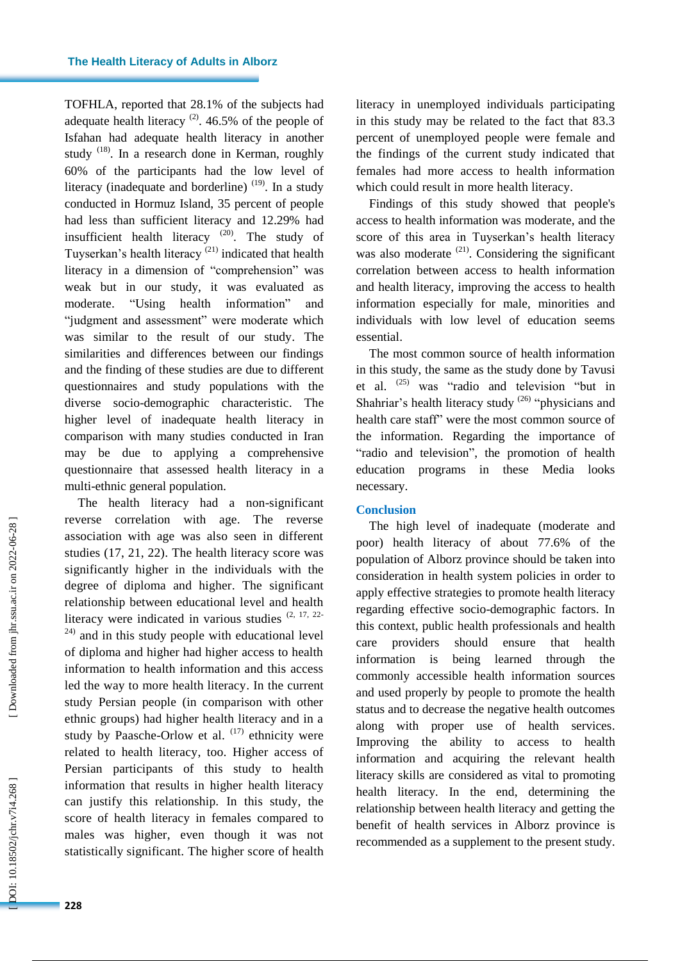TOFHLA, reported that 28.1% of the subjects had adequate health literacy  $(2)$ . 46.5% of the people of Isfahan had adequate health literacy in another study <sup>(18)</sup>. In a research done in Kerman, roughly 60% of the participants had the low level of literacy (inadequate and borderline)  $(19)$ . In a study conducted in Hormuz Island, 35 percent of people had less than sufficient literacy and 12.29% had insufficient health literacy  $(20)$ . The study of Tuyserkan's health literacy  $(21)$  indicated that health literacy in a dimension of "comprehension" was weak but in our study , it was evaluated as moderate. "Using health information" and "judgment and assessment" were moderate which was similar to the result of our study . The similarities and difference s between our findings and the finding of these studies are due to different questionnaires and study populations with the diverse socio -demographic characteristic . The higher level of inadequate health literacy in comparison with many studies conducted in Iran may be due to applying a comprehensive questionnaire that assessed health literacy in a multi -ethnic general population.

The health literacy had a non -significant reverse correlation with age. The reverse association with age was also seen in different studies (17, 21, 22). The health literacy score was significantly higher in the individuals with the degree of diploma and higher. The significant relationship between educational level and health literacy were indicated in various studies  $(2, 17, 22)$  $24$ ) and in this study people with educational level of diploma and higher had higher access to health information to health information and this access led the way to more health literacy. In the current study Persian people (in comparison with other ethnic groups) had higher health literacy and in a study by Paasche-Orlow et al. <sup>(17)</sup> ethnicity were related to health literacy , too . Higher access of Persian participants of this study to health information that results in higher health literacy can justify this relationship. In this study, the score of health literacy in females compared to males was higher, even though it was not statistically significant. The higher score of health

literacy in unemployed individuals participating in this study may be related to the fact that 83.3 percent of unemployed people were female and the findings of the current study indicated that female s had more access to health information which could result in more health literacy.

Findings of this study showed that people's access to health information was moderate, and the score of this area in Tuyserkan's health literacy was also moderate  $(21)$ . Considering the significant correlation between access to health information and health literacy, improving the access to health information especially for male, minorities and individual s with low level of education seems essential .

The most common source of health information in this study , the same as the study done by Tavusi et al. (25) was "radio and television "but in Shahriar's health literacy study <sup>(26)</sup> "physicians and health care staff" were the most common source of the information. Regarding the importance of "radio and television", the promotion of health education programs in these Media looks necessary .

## **Conclusion**

The high level of inadequate (moderate and poor) health literacy of about 77.6% of the population of Alborz province should be taken into consideration in health system policies in order to apply effective strategies to promote health literacy regarding effective socio -demographic factor s. In this context, public health professionals and health care providers should ensure that health information is being learned through the commonly accessible health information source s and used properly by people to promot e the health status and to decrease the negative health outcomes along with proper use of health services . Improving the ability to access to health information and acquiring the relevant health literacy skills are considered as vital to promoting health literac y . In the end, determining the relationship between health literacy and getting the benefit of health services in Alborz province is recommended as a supplement to the present study.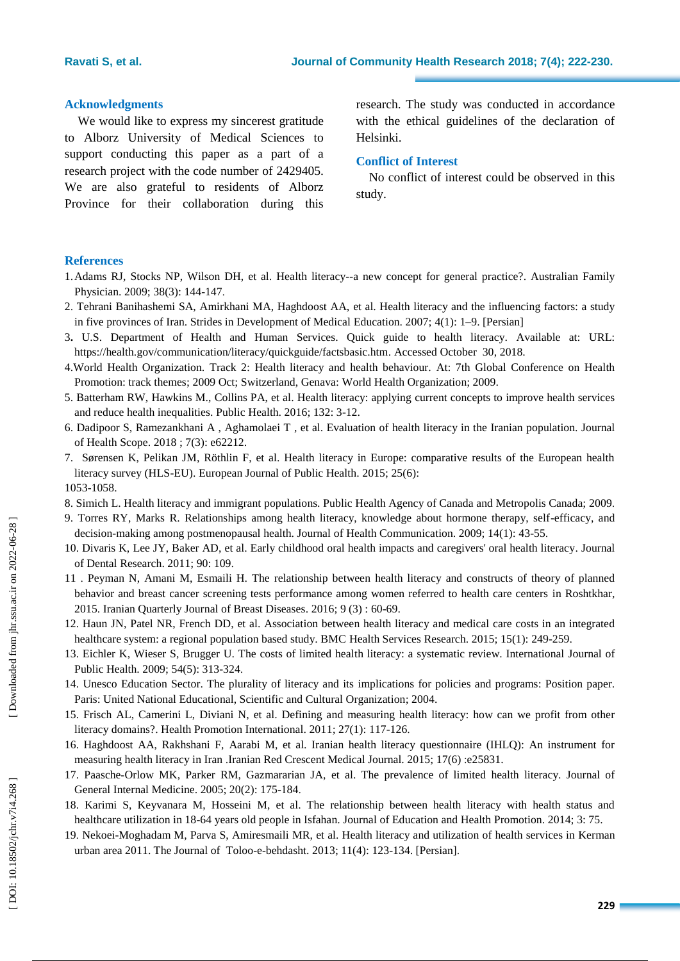## **Acknowledgment s**

We would like to express my sincerest gratitude to Alborz University of Medical Sciences to support conducting this paper as a part of a research project with the code number of 2429405. We are also grateful to residents of Alborz Province for their collaboration during this

research . The study was conducted in accordance with the ethical guidelines of the declaration of Helsinki.

## **Conflict of Interest**

No conflict of interest could be observed in this study.

## **References**

- 1.Adams RJ, Stocks NP, Wilson DH, et al. Health literacy--a new concept for general practice? . Australian Family Physician. 2009; 38(3): 144-147.
- 2 . Tehrani Banihashemi SA, Amirkhani MA, Haghdoost AA, et al. Health literacy and the influencing factors: a study in five provinces of Iran. Strides in Development of Medical Education. 2007; 4(1): 1 –9. [Persian]
- 3 **.** U.S. Department of Health and Human Services. Quick guide to health literacy. Available at: URL: <https://health.gov/communication/literacy/quickguide/factsbasic.htm> . Accessed October 30, 2018.
- 4.World Health Organization. Track 2: Health literacy and health behaviour. At: 7th Global Conference on Health Promotion: track themes; 2009 Oct; Switzerland, Genava: World Health Organization; 2009.
- 5. Batterham RW, Hawkins M., Collins PA, et al. Health literacy: applying current concepts to improve health services and reduce health inequalities. Public Health. 2016; 132: 3 -12.
- 6. Dadipoor S, Ramezankhani A , Aghamolaei T , et al. Evaluation of health literacy in the Iranian population. Journal of Health Scope. 2018 ; 7(3): e62212.
- 7. Sørensen K, Pelikan JM, Röthlin F, et al. Health literacy in Europe: comparative results of the European health literacy survey (HLS-EU). European Journal of Public Health. 2015; 25(6): 1053 -1058.
- 8. Simich L. Health literacy and immigrant populations. Public Health Agency of Canada and Metropolis Canada; 2009 .
- 9. Torres RY, Marks R. Relationships among health literacy, knowledge about hormone therapy, self -efficacy, and decision-making among postmenopausal health. Journal of Health Communication. 2009; 14(1): 43-55.
- 10. Divaris K, Lee JY, Baker AD, et al. Early childhood oral health impacts and caregivers' oral health literacy. Journal of Dental Research. 2011; 90: 109 .
- 11 . Peyman N, Amani M, Esmaili H. The relationship between health literacy and constructs of theory of planned behavior and breast cancer screening tests performance among women referred to health care centers in Roshtkhar, 2015. Iranian Quarterly Journal of Breast Diseases. 2016; 9 (3) : 60 -69 .
- 12. Haun JN, Patel NR, French DD, et al. Association between health literacy and medical care costs in an integrated healthcare system: a regional population based study. BMC Health Services Research. 2015; 15(1): 249-259.
- 13. Eichler K, Wieser S, Brugger U. The costs of limited health literacy: a systematic review. International Journal of Public Health. 2009; 54(5): 313-324.
- 14. Unesco Education Sector. The plurality of literacy and its implications for policies and programs: Position paper. Paris: United National Educational, Scien tific and Cultural Organization; 2004 .
- 15. Frisch AL, Camerini L, Diviani N, et al. Defining and measuring health literacy: how can we profit from other literacy domains?. Health Promotion International. 2011; 27(1): 117-126.
- 16. Haghdoost AA, Rakhshani F, Aarabi M, et al. Iranian health literacy questionnaire (IHLQ): An instrument for measuring health literacy in Iran .Iranian Red Crescent Medical Journal. 2015; 17(6) :e25831 .
- 17. Paasche -Orlow MK, Parker RM, Gazmararian JA, et al. The prevalence of limited health literacy. Journal of General Internal Medicine. 2005; 20(2): 175 - 184 .
- 18. Karimi S, Keyvanara M, Hosseini M, et al. The relationship between health literacy with health status and healthcare utilization in 18-64 years old people in Isfahan. Journal of Education and Health Promotion. 2014; 3:75.
- 19 . Nekoei -Moghadam M, Parva S, Amiresmaili MR, et al. Health literacy and utilization of health services in Kerman urban area 2011. The Journal of Toloo-e-behdasht. 2013; 11(4): 123-134. [Persian].